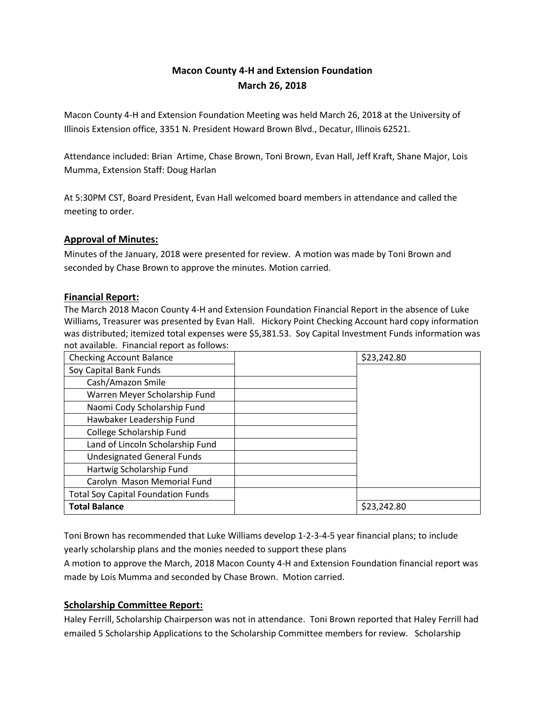# **Macon County 4-H and Extension Foundation March 26, 2018**

Macon County 4-H and Extension Foundation Meeting was held March 26, 2018 at the University of Illinois Extension office, 3351 N. President Howard Brown Blvd., Decatur, Illinois 62521.

Attendance included: Brian Artime, Chase Brown, Toni Brown, Evan Hall, Jeff Kraft, Shane Major, Lois Mumma, Extension Staff: Doug Harlan

At 5:30PM CST, Board President, Evan Hall welcomed board members in attendance and called the meeting to order.

## **Approval of Minutes:**

Minutes of the January, 2018 were presented for review. A motion was made by Toni Brown and seconded by Chase Brown to approve the minutes. Motion carried.

### **Financial Report:**

The March 2018 Macon County 4-H and Extension Foundation Financial Report in the absence of Luke Williams, Treasurer was presented by Evan Hall. Hickory Point Checking Account hard copy information was distributed; itemized total expenses were \$5,381.53. Soy Capital Investment Funds information was not available. Financial report as follows:

| <b>Checking Account Balance</b>           | \$23,242.80 |
|-------------------------------------------|-------------|
| Soy Capital Bank Funds                    |             |
| Cash/Amazon Smile                         |             |
| Warren Meyer Scholarship Fund             |             |
| Naomi Cody Scholarship Fund               |             |
| Hawbaker Leadership Fund                  |             |
| College Scholarship Fund                  |             |
| Land of Lincoln Scholarship Fund          |             |
| <b>Undesignated General Funds</b>         |             |
| Hartwig Scholarship Fund                  |             |
| Carolyn Mason Memorial Fund               |             |
| <b>Total Soy Capital Foundation Funds</b> |             |
| <b>Total Balance</b>                      | \$23,242.80 |

Toni Brown has recommended that Luke Williams develop 1-2-3-4-5 year financial plans; to include yearly scholarship plans and the monies needed to support these plans

A motion to approve the March, 2018 Macon County 4-H and Extension Foundation financial report was made by Lois Mumma and seconded by Chase Brown. Motion carried.

### **Scholarship Committee Report:**

Haley Ferrill, Scholarship Chairperson was not in attendance. Toni Brown reported that Haley Ferrill had emailed 5 Scholarship Applications to the Scholarship Committee members for review. Scholarship